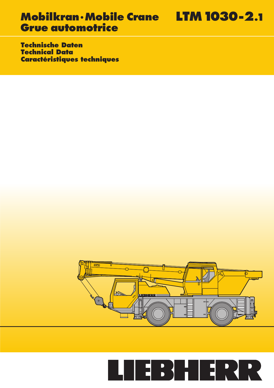**Technische Daten Technical Data Caractéristiques techniques**



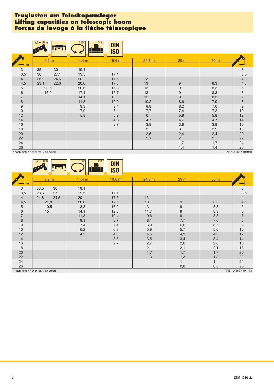### **Traglasten am Teleskopausleger Lifting capacities on telescopic boom Forces de levage à la fl èche télescopique**

|                       | $9,2 - 30$ m                           | $360^\circ$  | 5,5t<br><b>DIN</b><br>IS <sub>0</sub> |                     |                       |                       |                                 |
|-----------------------|----------------------------------------|--------------|---------------------------------------|---------------------|-----------------------|-----------------------|---------------------------------|
| m                     | 9,2 m<br>$\star$                       | 14,4 m       | 19,6 m                                | 24,8 m              | 29 <sub>m</sub>       | 30 m                  |                                 |
| 3<br>3,5              | 35<br>30<br>30<br>27,1                 | 19,1<br>19,5 | 17,1                                  |                     |                       |                       | 3<br>3,5                        |
| $\overline{4}$<br>4,5 | 24,6<br>26,2<br>22,6<br>23,1           | 20<br>20,6   | 17,5<br>17,5                          | 13<br>13            | 9                     | 8,3                   | $\overline{4}$<br>4,5           |
| 5<br>6                | 20,6<br>16,9                           | 20,6<br>17,1 | 16,8<br>15,7                          | 13<br>13            | 9<br>$\boldsymbol{9}$ | 8,3<br>8,3            | $\sqrt{5}$<br>$\,$ 6 $\,$       |
| $\overline{7}$<br>8   |                                        | 14,1<br>11,3 | 13<br>10,9                            | 12<br>10,2          | 9<br>8,6              | 8,3<br>7,9            | $\overline{7}$<br>$\bf8$        |
| $9$<br>10             |                                        | 9,3<br>7,9   | 9,4<br>8                              | 8,8<br>7,7          | 8,2<br>7,4            | 7,6<br>7,2            | $\boldsymbol{9}$<br>10          |
| 12<br>14              |                                        | 5,8          | 5,9<br>4,6                            | 6<br>4,7            | 5,8<br>4,7            | 5,8<br>4,7            | 12<br>14                        |
| 16<br>18              |                                        |              | 3,7                                   | 3,8<br>$\mathbf{3}$ | 3,8<br>3              | 3,8<br>2,9            | 16<br>18                        |
| 20<br>22              |                                        |              |                                       | 2,5<br>2,1          | 2,4<br>$\overline{2}$ | 2,4<br>$\overline{2}$ | 20<br>22                        |
| 24<br>26              | * nach hinten / over rear / en arrière |              |                                       |                     | 1,7<br>1,4            | 1,7<br>1,4            | 24<br>26<br>TAB 104036 / 104040 |
|                       |                                        |              |                                       |                     |                       |                       |                                 |

\* nach hinten / over rear / en arrière

|                                     | $9,2 - 30$ m             | $360^\circ$  | 2,3t<br><b>DIN</b><br>IS <sub>0</sub> |            |                                            |            |                                         |
|-------------------------------------|--------------------------|--------------|---------------------------------------|------------|--------------------------------------------|------------|-----------------------------------------|
| m                                   | 9,2 m                    | 14,4 m       | 19,6 m                                | 24,8 m     | 29 <sub>m</sub>                            | 30 m       | m                                       |
| 3<br>3,5                            | 33,5<br>30<br>27<br>28,6 | 19,1<br>19,5 | 17,1                                  |            |                                            |            | $\begin{array}{c} 3 \\ 3,5 \end{array}$ |
| $\overline{4}$<br>4,5               | 24,5<br>24,8<br>21,8     | 20<br>20,6   | 17,5<br>17,5                          | 13<br>$13$ | $9\,$                                      | 8,3        | $\overline{4}$<br>4,5                   |
| $\overline{5}$<br>$\,6\,$           | 19,5<br>15               | 18,3<br>14,1 | 16,2<br>12,8                          | 13<br>11,7 | $\begin{array}{c} 9 \\ 9 \\ 9 \end{array}$ | 8,3<br>8,3 | 5<br>$\frac{6}{7}$                      |
| $\overline{\mathcal{I}}$<br>$\,8\,$ |                          | 11,3<br>9,1  | 10,4<br>8,7                           | 9,6<br>8,1 | 7,7                                        | 8,3<br>7,6 | $\bf 8$                                 |
| $\boldsymbol{9}$<br>$10$            |                          | 7,4<br>6,2   | 7,4<br>6,3                            | 6,9<br>5,9 | 6,6<br>5,7                                 | 6,5<br>5,6 | $\boldsymbol{9}$<br>10                  |
| 12<br>14                            |                          | 4,5          | 4,6<br>3,5                            | 4,5<br>3,5 | 4,3<br>3,4                                 | 4,3<br>3,4 | 12<br>14                                |
| 16<br>18                            |                          |              | 2,7                                   | 2,7<br>2,1 | 2,6<br>2,1                                 | 2,6<br>2,1 | 16<br>18                                |
| 20<br>22                            |                          |              |                                       | 1,7<br>1,3 | 1,7<br>1,3                                 | 1,7<br>1,3 | 20<br>22                                |
| 24<br>26                            |                          |              |                                       |            | $\mathbf{1}$<br>0,8                        | 0,8        | 24<br>26                                |

\* nach hinten / over rear / en arrière

TAB 104169 / 104173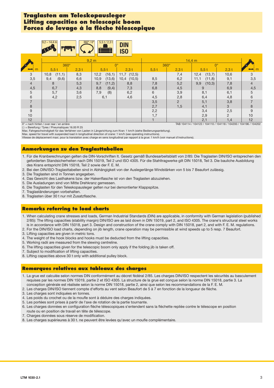#### **Traglasten am Teleskopausleger Lifting capacities on telescopic boom Forces de levage à la flèche télescopique**

|                | $9,2 - 14,4$ m | $360^\circ/0^\circ$        | $5,5$ t/2,3 t<br><b>Billian Strain</b> | <b>DIN</b><br><b>ISO</b> |             |                |                |                |                  |  |  |
|----------------|----------------|----------------------------|----------------------------------------|--------------------------|-------------|----------------|----------------|----------------|------------------|--|--|
|                |                | 9.2 <sub>m</sub><br>14,4 m |                                        |                          |             |                |                |                |                  |  |  |
|                | 360°           |                            |                                        | $0^{\circ}$              | $360^\circ$ |                | $0^{\circ}$    |                |                  |  |  |
| m              | 5,5t           | $2,3$ t                    | $5,5$ t                                | $2,3$ t                  | $5,5$ t     | $2,3$ t        | 5,5t           | $2,3$ t        |                  |  |  |
| 3              | (11,1)<br>10,8 | 8,3                        | (16,1)<br>12,2                         | 11,7 (12,5)              |             | 7,4            | 12,4<br>(13,7) | 10,6           | 3                |  |  |
| 3,5            | 9,4<br>(9,6)   | 6,6                        | (13,6)<br>10,9                         | $10,4$ $(10,5)$          | 8,5         | 6,2            | 11,1<br>(11,8) | 9,1            | 3,5              |  |  |
| $\overline{4}$ | 8              | 5,3                        | 9,7<br>(11,2)                          | 8,8                      | 7,8         | 5,2            | 9,9<br>(10,3)  | 7,8            | $\overline{4}$   |  |  |
| 4,5            | 6,7            | 4,3                        | 8,8<br>(9,4)                           | 7,3                      | 6,8         | 4,5            | 9              | 6,9            | 4,5              |  |  |
| 5              | 5,7            | 3,6                        | 7,9<br>(8)                             | 6,2                      | 6           | 3,9            | 8,1            | 6,1            | 5                |  |  |
| 6              | 4,2            | 2,5                        | 6,1                                    | 4,6                      | 4,5         | 2,8            | 6,4            | 4,8            | 6                |  |  |
|                |                |                            |                                        |                          | 3,5         | $\overline{2}$ | 5,1            | 3,8            | $\overline{7}$   |  |  |
| 8              |                |                            |                                        |                          | 2,7         | 1,5            | 4,1            | 3              | 8                |  |  |
| 9              |                |                            |                                        |                          | 2,2         |                | 3,4            | 2,5            | $\boldsymbol{9}$ |  |  |
| 10             |                |                            |                                        |                          | 1,7         |                | 2,9            | $\overline{2}$ | 10               |  |  |
| 12             |                |                            |                                        |                          |             |                | 2,1            | 1,4            | 12               |  |  |

0° = nach hinten / over rear / en arrière TAB 104114 / 104122 / 104110 / 104118 / 104200 / 104196 / 104202

( ) = Bereifung / Tyres / Pneumatiques 16.00 R 25 Max. Fahrgeschwindigkeit für das Verfahren von Lasten in Längsrichtung zum Kran: 1 km/h (siehe Bedienungsanleitung).

Max. speed for travel with suspended load in longitudinal direction of crane: 1 km/h (see operating instructions).

Vitesse de déplacement maxi. pour la translation avec charge en sens longitudinal par rapport à la grue: 1 km/h (voir manuel d'instructions).

#### **Anmerkungen zu den Traglasttabellen**

- 1. Für die Kranberechnungen gelten die DIN-Vorschriften lt. Gesetz gemäß Bundesarbeitsblatt von 2/85: Die Traglasten DIN/ISO entsprechen den geforderten Standsicherheiten nach DIN 15019, Teil 2 und ISO 4305. Für die Stahltragwerke gilt DIN 15018, Teil 3. Die bauliche Ausbildung des Krans entspricht DIN 15018, Teil 2 sowie der F. E. M.
- 2. Bei den DIN/ISO-Traglasttabellen sind in Abhängigkeit von der Auslegerlänge Windstärken von 5 bis 7 Beaufort zulässig.
- 3. Die Traglasten sind in Tonnen angegeben.
- 4. Das Gewicht des Lasthakens bzw. der Hakenflasche ist von den Traglasten abzuziehen.
- 5. Die Ausladungen sind von Mitte Drehkranz gemessen.
- 6. Die Traglasten für den Teleskopausleger gelten nur bei demontierter Klappspitze.
- 7. Traglaständerungen vorbehalten.
- 8. Traglasten über 30 t nur mit Zusatzflasche.

#### **Remarks referring to load charts**

- 1. When calculating crane stresses and loads, German Industrial Standards (DIN) are applicable, in conformity with German legislation (published 2/85): The lifting capacities (stability margin) DIN/ISO are as laid down in DIN 15019, part 2, and ISO 4305. The crane's structural steel works is in accordance with DIN 15018, part 3. Design and construction of the crane comply with DIN 15018, part 2, and with F. E. M. regulations.
- 2. For the DIN/ISO load charts, depending on jib length, crane operation may be permissible at wind speeds up to 5 resp. 7 Beaufort.
- 3. Lifting capacities are given in metric tons.
- 4. The weight of the hook blocks and hooks must be deducted from the lifting capacities.
- 5. Working radii are measured from the slewing centreline.
- 6. The lifting capacities given for the telescopic boom only apply if the folding jib is taken off.
- 7. Subject to modification of lifting capacities.
- 8. Lifting capacities above 30 t only with additional pulley block.

#### **Remarques relatives aux tableaux des charges**

- 1. La grue est calculée selon normes DIN conformément au décret fédéral 2/85. Les charges DIN/ISO respectent les sécurités au basculement requises par les normes DIN 15019, partie 2 et ISO 4305. La structure de la grue est conçue selon la norme DIN 15018, partie 3. La conception générale est réalisée selon la norme DIN 15018, partie 2, ainsi que selon les recommandations de la F. E. M.
- 2. Les charges DIN/ISO tiennent compte d'efforts au vent selon Beaufort de 5 à 7 en fonction de la longueur de flèche.
- 3. Les charges sont indiquées en tonnes.
- 4. Les poids du crochet ou de la moufle sont à déduire des charges indiquées.
- 5. Les portées sont prises à partir de l'axe de rotation de la partie tournante.
- 6. Les charges données en configuration flèche télescopiques s'entendent sans la fléchette repliée contre le télescope en position route ou en position de travail en tête de télescope.
- 7. Charges données sous réserve de modification.
- 8. Les charges supérieures à 30 t. ne peuvent être levées qu'avec un moufle complémentaire.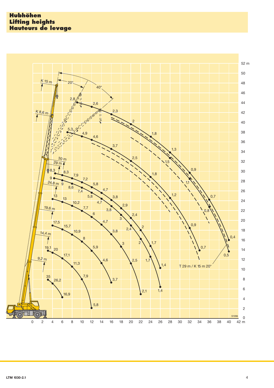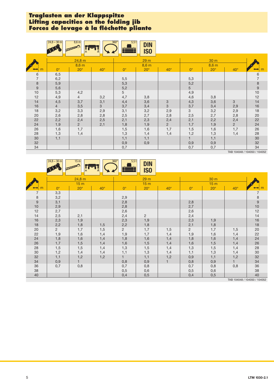### **Traglasten an der Klappspitze Lifting capacities on the folding jib Forces de levage à la fl échette pliante**

|                     | $24,8 - 30$ m         | $8,6 \text{ m}$               |                       | $360^\circ$<br>$5,5$ t | <b>DIN</b><br><b>ISO</b>               |                              |                       |                          |                              |                                       |
|---------------------|-----------------------|-------------------------------|-----------------------|------------------------|----------------------------------------|------------------------------|-----------------------|--------------------------|------------------------------|---------------------------------------|
| m                   | $0^{\circ}$           | 24,8 m<br>8,6 m<br>$20^\circ$ |                       | $0^{\circ}$            | 29 <sub>m</sub><br>8,6 m<br>$20^\circ$ | $40^{\circ}$                 | $0^{\circ}$           | 30 <sub>m</sub><br>8,6 m |                              |                                       |
| 6<br>$\overline{7}$ | 6,5<br>6,2            |                               | $40^{\circ}$          | 5,5                    |                                        |                              | 5,3                   | $20^\circ$               | $40^\circ$                   | $\begin{array}{c} 6 \\ 7 \end{array}$ |
| $\bf 8$<br>$9\,$    | 5,9<br>5,6            |                               |                       | 5,3<br>5,2             |                                        |                              | 5,2<br>5 <sup>5</sup> |                          |                              | $\begin{array}{c} 8 \\ 9 \end{array}$ |
| 10<br>12<br>14      | 5,3<br>4,9<br>4,5     | 4,2<br>$\overline{4}$<br>3,7  | 3,2<br>3,1            | 5<br>4,7<br>4,4        | 3,8<br>3,6                             | $\ensuremath{\mathsf{3}}$    | 4,9<br>4,6<br>4,3     | 3,8<br>3,6               | 3                            | $10$<br>12<br>14                      |
| 16<br>18            | $\overline{4}$<br>3,2 | 3,5<br>3,3                    | 3 <sup>1</sup><br>2,9 | 3,7<br>3,1             | 3,4<br>3,2                             | 3<br>2,9                     | 3,7<br>3              | 3,4<br>3,2               | 2,9<br>2,9                   | $16$<br>18                            |
| 20<br>22            | 2,6<br>2,2            | 2,8<br>2,4                    | 2,8<br>2,5            | 2,5<br>2,1             | 2,7<br>2,3                             | 2,8<br>2,4                   | 2,5<br>2,1            | 2,7<br>2,2               | 2,8<br>2,4                   | 20<br>22                              |
| 24<br>26<br>28      | 1,9<br>1,6<br>1,3     | $\overline{2}$<br>1,7<br>1,4  | 2,1                   | 1,8<br>1,5<br>1,3      | 1,9<br>1,6<br>1,4                      | $\overline{2}$<br>1,7<br>1,4 | 1,7<br>1,5<br>1,2     | 1,9<br>1,6<br>1,3        | $\overline{2}$<br>1,7<br>1,4 | 24<br>26<br>$28\,$                    |
| 30<br>32            | 1,1                   |                               |                       | 1,1<br>0,9             | 1,1<br>0,9                             |                              | $\mathbf{1}$<br>0,9   | 1,1<br>0,9               |                              | $30\,$<br>32                          |
| 34                  |                       |                               |                       | 0,7                    |                                        |                              | 0,7                   | 0,7                      | T10.4010                     | 34                                    |

TAB 104048 / 104050 / 104052

|                           | $24,8 - 30$ m             | 15 <sub>m</sub> |              | $360^\circ$<br>5,5t<br>$\overline{\phantom{a}}$               | <b>DIN</b><br><b>ISO</b> |            |             |            |              |                                                           |
|---------------------------|---------------------------|-----------------|--------------|---------------------------------------------------------------|--------------------------|------------|-------------|------------|--------------|-----------------------------------------------------------|
|                           | 24,8 m<br>15 <sub>m</sub> |                 |              | 29 <sub>m</sub><br>30 m<br>15 <sub>m</sub><br>15 <sub>m</sub> |                          |            |             |            |              |                                                           |
| m                         | $0^{\circ}$               | $20^\circ$      | $40^{\circ}$ | $0^{\circ}$                                                   | $20^\circ$               | $40^\circ$ | $0^{\circ}$ | $20^\circ$ | $40^{\circ}$ |                                                           |
| $\overline{7}$<br>$\,8\,$ | 3,3<br>3,2                |                 |              | 2,9                                                           |                          |            |             |            |              | $\boldsymbol{7}$<br>$\begin{array}{c} 8 \\ 9 \end{array}$ |
| $\boldsymbol{9}$          | 3,1                       |                 |              | 2,8                                                           |                          |            | 2,8         |            |              |                                                           |
| 10                        | 2,9                       |                 |              | 2,8                                                           |                          |            | 2,7         |            |              | $10$                                                      |
| 12                        | 2,7                       |                 |              | 2,6                                                           |                          |            | 2,6         |            |              | 12                                                        |
| 14                        | 2,5                       | 2,1             |              | 2,4                                                           | $\overline{2}$           |            | 2,4         |            |              | 14                                                        |
| 16                        | 2,3                       | 1,9             |              | 2,3                                                           | 1,9                      |            | 2,3         | 1,9        |              | $16$                                                      |
| 18                        | 2,2                       | 1,8             | 1,5          | 2,2                                                           | 1,8                      |            | 2,1         | 1,8        |              | 18                                                        |
| 20                        | $\overline{2}$            | 1,7             | 1,5          | $\overline{2}$                                                | 1,7                      | 1,5        | $2^{\circ}$ | 1,7        | 1,5          | 20                                                        |
| 22                        | 1,9                       | 1,6             | 1,4          | 1,9                                                           | 1,7                      | 1,4        | 1,9         | 1,6        | 1,4          | 22                                                        |
| 24                        | 1,8                       | 1,6             | 1,4          | 1,8                                                           | 1,6                      | 1,4        | 1,8         | 1,6        | 1,4          | 24                                                        |
| 26                        | 1,7                       | 1,5             | 1,4          | 1,6                                                           | 1,5                      | 1,4        | 1,6         | 1,5        | 1,4          | 26                                                        |
| 28                        | 1,5                       | 1,5             | 1,4          | 1,3                                                           | 1,5                      | 1,4        | 1,3         | 1,5        | 1,4          | 28                                                        |
| 30                        | 1,2                       | 1,4             | 1,4          | 1,1                                                           | 1,3                      | 1,4        | 1,1         | 1,3        | 1,4          | 30                                                        |
| 32                        | 1,1                       | 1,2             | 1,2          | $\mathbf{1}$                                                  | 1,1                      | 1,2        | 0,9         | 1,1        | 1,2          | 32                                                        |
| 34                        | 0,9                       |                 |              | 0,8                                                           | 0,9                      |            | 0,8         | 0,9        |              | 34                                                        |
| 36                        | 0,7                       | 0,8             |              | 0,7                                                           | 0,8                      |            | 0,7         | 0,8        | 0,8          | 36                                                        |
| 38                        |                           |                 |              | 0,5                                                           | 0,6                      |            | 0,5         | 0,6        |              | 38                                                        |
| 40                        |                           |                 |              | 0,4                                                           | 0,5                      |            | 0,4         | 0,5        |              | 40                                                        |

TAB 104048 / 104050 / 104052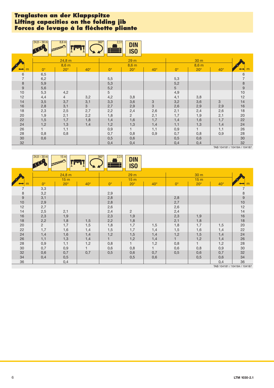### **Traglasten an der Klappspitze Lifting capacities on the folding jib Forces de levage à la fl échette pliante**

|                     | $24,8 - 30$ m   | $8,6 \text{ m}$<br>DODOR . |              | $360^\circ$<br>$2,3$ t<br>Æ | <b>DIN</b><br>IS <sub>0</sub> |              |                        |                       |              |                                       |
|---------------------|-----------------|----------------------------|--------------|-----------------------------|-------------------------------|--------------|------------------------|-----------------------|--------------|---------------------------------------|
|                     | 24,8 m<br>8,6 m |                            |              |                             | 29 <sub>m</sub><br>8,6 m      |              |                        |                       |              |                                       |
|                     | $0^{\circ}$     | $20^\circ$                 | $40^{\circ}$ | $0^{\circ}$                 | $20^\circ$                    | $40^{\circ}$ | $0^{\circ}$            | 8,6 m<br>$20^{\circ}$ | $40^{\circ}$ |                                       |
| 6<br>$\overline{7}$ | 6,5<br>6,2      |                            |              | 5,5                         |                               |              | 5,3                    |                       |              | $\begin{array}{c} 6 \\ 7 \end{array}$ |
| 8<br>9              | 5,9<br>5,6      |                            |              | 5,3<br>5,2                  |                               |              | 5,2<br>$5\overline{)}$ |                       |              | $\begin{array}{c} 8 \\ 9 \end{array}$ |
| $10$<br>12          | 5,3<br>4,4      | 4,2<br>$\overline{4}$      | 3,2          | 5<br>4,2                    | 3,8                           |              | 4,9<br>4,1             | 3,8                   |              | $10$<br>12                            |
| 14<br>16            | 3,5<br>2,8      | 3,7<br>3,1                 | 3,1<br>3     | 3,3<br>2,7                  | 3,6<br>2,9                    | 3<br>3       | 3,2<br>2,6             | 3,6<br>2,9            | 3<br>2,9     | 14<br>16                              |
| 18<br>20            | 2,3<br>1,9      | 2,5<br>2,1                 | 2,7<br>2,2   | 2,2<br>1,8                  | 2,4<br>$\overline{2}$         | 2,6<br>2,1   | 2,1<br>1,7             | 2,4<br>1,9            | 2,6<br>2,1   | 18<br>20                              |
| 22<br>24            | 1,5<br>1,2      | 1,7<br>1,3                 | 1,8<br>1,4   | 1,4<br>1,2                  | 1,6<br>1,3                    | 1,7<br>1,4   | 1,4<br>1,1             | 1,6<br>1,3            | 1,7<br>1,4   | 22<br>24                              |
| 26<br>28            | 0,8             | 1,1<br>0,8                 |              | 0,9<br>0,7                  | 1.<br>0,8                     | 1,1<br>0,9   | 0,9<br>0,7             | $\mathbf{1}$<br>0,8   | 1,1<br>0,9   | 26<br>28                              |
| 30<br>32            | 0,6             |                            |              | 0,5<br>0,4                  | 0,6<br>0,4                    |              | 0,5<br>0,4             | 0,6<br>0,4            |              | $30\,$<br>32                          |

TAB 104181 / 104184 / 104187

|                  | $24,8 - 30$ m         | 15 <sub>m</sub>           |            | $360^\circ$<br>$2,3$ t | <b>DIN</b><br><b>ISO</b>           |              |             |                         |              |                                    |
|------------------|-----------------------|---------------------------|------------|------------------------|------------------------------------|--------------|-------------|-------------------------|--------------|------------------------------------|
|                  |                       | 24,8 m<br>15 <sub>m</sub> |            |                        | 29 <sub>m</sub><br>15 <sub>m</sub> |              |             | 30 m<br>15 <sub>m</sub> |              |                                    |
|                  | $0^{\circ}$           | $20^\circ$                | $40^\circ$ | $0^{\circ}$            | $20^\circ$                         | $40^{\circ}$ | $0^{\circ}$ | $20^\circ$              | $40^{\circ}$ |                                    |
| 7<br>$\,$ 8 $\,$ | 3,3<br>3,2            |                           |            | 2,9                    |                                    |              |             |                         |              | $\overline{7}$<br>$\,8\,$          |
| $9$<br>10        | 3,1<br>2,9            |                           |            | 2,8<br>2,8             |                                    |              | 2,8<br>2,7  |                         |              | $\boldsymbol{9}$<br>$10$           |
| 12<br>14         | 2,7<br>2,5            | 2,1                       |            | 2,6<br>2,4             | $\overline{2}$                     |              | 2,6<br>2,4  |                         |              | 12<br>14                           |
| 16<br>18         | 2,3<br>2,2            | 1,9<br>1,8                | 1,5        | 2,3<br>2,2             | 1,9<br>1,8                         |              | 2,3<br>2,1  | 1,9<br>1,8              |              | 16<br>18                           |
| 20<br>22         | $\overline{2}$<br>1,7 | 1,7<br>1,6                | 1,5<br>1,4 | 1,8<br>1,5             | 1,7<br>1,7                         | 1,5<br>1,4   | 1,8<br>1,5  | 1,7<br>1,6              | 1,5<br>1,4   | 20<br>22                           |
| 24<br>26         | 1,4<br>1,1            | 1,6<br>1,3                | 1,4<br>1,4 | 1,2                    | 1,5<br>1,2                         | 1,4<br>1,4   | 1,2         | 1,5<br>1,2              | 1,4<br>1,4   | 24<br>26                           |
| 28<br>30         | 0,9<br>0,7            | 1,1<br>0,9                | 1,2        | 0,8<br>0,6             | 0,8                                | 1,2          | 0,8<br>0,6  | 0,8                     | 1,2<br>0,9   | 28<br>30                           |
| 32<br>34         | 0,6<br>0,4            | 0,7<br>0,5                | 0,7        | 0,5                    | 0,6<br>0,5                         | 0,7<br>0,6   | 0,5         | 0,6<br>0,5              | 0,7<br>0,6   | 32<br>34                           |
| 36               |                       | 0,4                       |            |                        |                                    |              |             |                         | 0,4          | 36<br>TAB 104181 / 104184 / 104187 |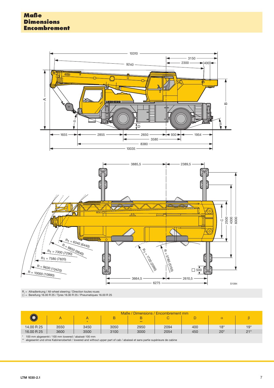

R<sub>,</sub> = Allradlenkung / All-wheel steering / Direction toutes roues<br>() = Bereifung 16.00 R 25 / Tyres 16.00 R 25 / Pneumatiques 16.00 R 25

|                                                    | Maße / Dimensions / Encombrement mm |      |      |      |      |     |              |              |  |  |  |
|----------------------------------------------------|-------------------------------------|------|------|------|------|-----|--------------|--------------|--|--|--|
|                                                    | A                                   |      | B    |      |      |     | $\alpha$     |              |  |  |  |
|                                                    |                                     |      |      | $**$ |      |     |              |              |  |  |  |
| 14.00 R 25                                         | 3550                                | 3450 | 3050 | 2950 | 2094 | 400 | $18^{\circ}$ | $19^\circ$   |  |  |  |
| 16.00 R 25                                         | 3600                                | 3500 | 3100 | 3000 | 2054 | 450 | $20^{\circ}$ | $21^{\circ}$ |  |  |  |
| 100 mm abgesenkt / 100 mm lowered / abaissé 100 mm |                                     |      |      |      |      |     |              |              |  |  |  |

\* 100 mm abgesenkt / 100 mm lowered / abaissé 100 mm \*\* abgesenkt und ohne Kabinenoberteil / lowered and without upper part of cab / abaissé et sans partie supérieure de cabine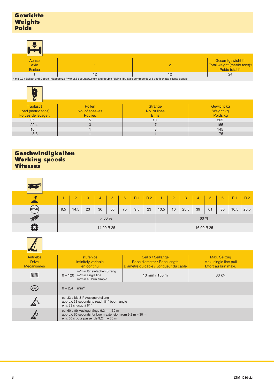| ⋿                       |  |                                                                                                          |
|-------------------------|--|----------------------------------------------------------------------------------------------------------|
| Achse<br>Axle<br>Essieu |  | Gesamtgewicht t <sup>1)</sup><br>Total weight (metric tons) <sup>1)</sup><br>Poids total t <sup>1)</sup> |
|                         |  | 24                                                                                                       |

1) mit 2,3 t Ballast und Doppel-Klappspitze / with 2,3 t counterweight and double folding jib / avec contrepoids 2,3 t et fléchette pliante double

| Traglast t<br>Load (metric tons)<br>Forces de levage t | Rollen<br>No. of sheaves<br><b>Poulies</b> | Stränge<br>No. of lines<br><b>Brins</b> | <b>Gewicht kg</b><br>Weight kg<br>Poids kg |
|--------------------------------------------------------|--------------------------------------------|-----------------------------------------|--------------------------------------------|
| 35                                                     | 5                                          | 10                                      | 265                                        |
| 22,4                                                   | 3                                          |                                         | 165                                        |
| 10                                                     |                                            | 3                                       | 145                                        |
| 3,3                                                    |                                            |                                         | 75                                         |

### **Geschwindigkeiten Working speeds Vitesses**

|                                               | $\mathbf{1}$                                                                                                                                    | $\overline{2}$              | 3                                              | $\overline{4}$                                     | $\overline{5}$ | 6  | R <sub>1</sub>                        | R <sub>2</sub> | $\mathbf{1}$                                      | $\overline{2}$ | 3     | $\overline{4}$ | $5\phantom{1}$                                | 6            | R <sub>1</sub> | R <sub>2</sub> |
|-----------------------------------------------|-------------------------------------------------------------------------------------------------------------------------------------------------|-----------------------------|------------------------------------------------|----------------------------------------------------|----------------|----|---------------------------------------|----------------|---------------------------------------------------|----------------|-------|----------------|-----------------------------------------------|--------------|----------------|----------------|
| (km/h                                         | 9,5<br>14,5<br>23<br>36<br>56                                                                                                                   |                             |                                                | 75                                                 | 9,5            | 23 | 10,5                                  | 16             | 25,5                                              | 39             | 61    | 80             | 10,5                                          | 25,5         |                |                |
| $\blacktriangleright$                         | >60%<br>60 %                                                                                                                                    |                             |                                                |                                                    |                |    |                                       |                |                                                   |                |       |                |                                               |              |                |                |
| ۵                                             |                                                                                                                                                 | 14.00 R 25                  |                                                |                                                    |                |    |                                       |                |                                                   |                |       |                | 16.00 R 25                                    |              |                |                |
|                                               |                                                                                                                                                 |                             |                                                |                                                    |                |    |                                       |                |                                                   |                |       |                |                                               |              |                |                |
| Antriebe<br><b>Drive</b><br><b>Mécanismes</b> |                                                                                                                                                 |                             | stufenlos<br>infinitely variable<br>en continu |                                                    |                |    | Diamètre du câble / Longueur du câble |                | Seil ø / Seillänge<br>Rope diameter / Rope length |                |       |                | Max. single line pull<br>Effort au brin maxi. | Max. Seilzug |                |                |
| <b>THE TELEVISION</b>                         |                                                                                                                                                 | $0 - 120$ m/min single line |                                                | m/min für einfachen Strang<br>m/min au brin simple |                |    |                                       |                | 13 mm / 150 m                                     |                | 33 kN |                |                                               |              |                |                |
| $\left( \frac{360}{2} \right)$                | $0 - 2,4$ min <sup>-1</sup>                                                                                                                     |                             |                                                |                                                    |                |    |                                       |                |                                                   |                |       |                |                                               |              |                |                |
|                                               | ca. 33 s bis 81° Auslegerstellung<br>approx. 33 seconds to reach 81° boom angle<br>env. 33 s jusqu'à 81°                                        |                             |                                                |                                                    |                |    |                                       |                |                                                   |                |       |                |                                               |              |                |                |
|                                               | ca. 60 s für Auslegerlänge 9,2 m - 30 m<br>approx. 60 seconds for boom extension from $9,2 m - 30 m$<br>env. 60 s pour passer de $9,2 m - 30 m$ |                             |                                                |                                                    |                |    |                                       |                |                                                   |                |       |                |                                               |              |                |                |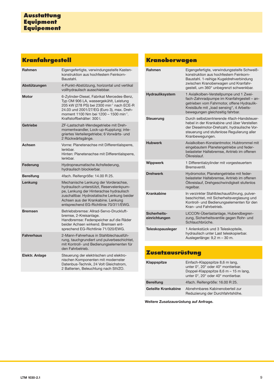# **Kranfahrgestell**

| Rahmen            | Eigengefertigte, verwindungssteife Kasten-<br>konstruktion aus hochfestem Feinkorn-<br>Baustahl.                                                                                                                                                                               |
|-------------------|--------------------------------------------------------------------------------------------------------------------------------------------------------------------------------------------------------------------------------------------------------------------------------|
| Abstützungen      | 4-Punkt-Abstützung, horizontal und vertikal<br>vollhydraulisch ausschiebbar.                                                                                                                                                                                                   |
| <b>Motor</b>      | 6-Zylinder-Diesel, Fabrikat Mercedes-Benz,<br>Typ OM 906 LA, wassergekühlt, Leistung<br>205 kW (278 PS) bei 2300 min <sup>-1</sup> nach ECE-R<br>24.03 und 2001/27/EG (Euro 3), max. Dreh-<br>moment 1100 Nm bei 1200 - 1500 min <sup>-1</sup> .<br>Kraftstoffbehälter: 300 I. |
| Getriebe          | ZF-Lastschalt-Wendegetriebe mit Dreh-<br>momentwandler, Lock-up-Kupplung; inte-<br>griertes Verteilergetriebe; 6 Vorwärts- und<br>2 Rückwärtsgänge.                                                                                                                            |
| Achsen            | Vorne: Planetenachse mit Differentialsperre,<br>lenkbar.<br>Hinten: Planetenachse mit Differentialsperre,<br>lenkbar.                                                                                                                                                          |
| Federung          | Hydropneumatische Achsfederung,<br>hydraulisch blockierbar.                                                                                                                                                                                                                    |
| <b>Bereifung</b>  | 4fach. Reifengröße: 14.00 R 25.                                                                                                                                                                                                                                                |
| Lenkung           | Mechanische Lenkung der Vorderachse,<br>hydraulisch unterstützt, Reservelenkpum-<br>pe, Lenkung der Hinterachse hydraulisch<br>zuschaltbar. Hydrostatische Lenkung beider<br>Achsen aus der Krankabine. Lenkung<br>entsprechend EG-Richtlinie 70/311/EWG.                      |
| <b>Bremsen</b>    | Betriebsbremse: Allrad-Servo-Druckluft-<br>bremse, 2-Kreisanlage.<br>Handbremse: Federspeicher auf die Räder<br>beider Achsen wirkend. Bremsen ent-<br>sprechend EG-Richtlinie 71/320/EWG.                                                                                     |
| <b>Fahrerhaus</b> | 2-Mann-Fahrerhaus in Stahlblechausfüh-<br>rung, tauchgrundiert und pulverbeschichtet,<br>mit Kontroll- und Bedienungselementen für<br>den Fahrbetrieb.                                                                                                                         |
| Elektr. Anlage    | Steuerung der elektrischen und elektro-<br>nischen Komponenten mit modernster<br>Datenbus-Technik, 24 Volt Gleichstrom,<br>2 Batterien, Beleuchtung nach StVZO.                                                                                                                |

# **Kranoberwagen**

| Rahmen                        | Eigengefertigte, verwindungssteife Schweiß-<br>konstruktion aus hochfestem Feinkorn-<br>Baustahl, 1-reihige Kugeldrehverbindung<br>zwischen Kranoberwagen und Kranfahr-<br>gestell, um 360° unbegrenzt schwenkbar.   |
|-------------------------------|----------------------------------------------------------------------------------------------------------------------------------------------------------------------------------------------------------------------|
| <b>Hydrauliksystem</b>        | 1 Axialkolben-Verstellpumpe und 1 Zwei-<br>fach-Zahnradpumpe im Kranfahrgestell - an-<br>getrieben vom Fahrmotor, offene Hydraulik-<br>Kreisläufe mit "load sensing", 4 Arbeits-<br>bewegungen gleichzeitig fahrbar. |
| Steuerung                     | Durch selbstzentrierende 4fach-Handsteuer-<br>hebel in der Krankabine und über Verstellen<br>der Dieselmotor-Drehzahl, hydraulische Vor-<br>steuerung und stufenlose Regulierung aller<br>Kranbewegungen.            |
| <b>Hubwerk</b>                | Axialkolben-Konstantmotor, Hubtrommel mit<br>eingebautem Planetengetriebe und feder-<br>belasteter Haltebremse, Antrieb im offenen<br>Ölkreislauf.                                                                   |
| <b>Wippwerk</b>               | 1 Differentialzylinder mit vorgesteuertem<br>Bremsventil.                                                                                                                                                            |
| <b>Drehwerk</b>               | Hydromotor, Planetengetriebe mit feder-<br>belasteter Haltebremse, Antrieb im offenen<br>Ölkreislauf, Drehgeschwindigkeit stufenlos<br>regelbar.                                                                     |
| <b>Krankabine</b>             | In verzinkter Stahlblechausführung, pulver-<br>beschichtet, mit Sicherheitsverglasung und<br>Kontroll- und Bedienungselementen für den<br>Kran- und Fahrbetrieb.                                                     |
| Sicherheits-<br>einrichtungen | LICCON-Überlastanlage, Hubendbegren-<br>zung, Sicherheitsventile gegen Rohr- und<br>Schlauchbrüche.                                                                                                                  |
| <b>Teleskopausleger</b>       | 1 Anlenkstück und 3 Teleskopteile,<br>hydraulisch unter Last teleskopierbar.<br>Auslegerlänge: 9,2 m - 30 m.                                                                                                         |

## **Zusatzausrüstung**

| Klappspitze         | Einfach-Klappspitze 8,6 m lang,<br>unter 0°, 20° oder 40° montierbar.<br>Doppel-Klappspitze 8,6 m - 15 m lang,<br>unter 0°, 20° oder 40° montierbar. |
|---------------------|------------------------------------------------------------------------------------------------------------------------------------------------------|
| <b>Bereifung</b>    | 4fach. Reifengröße: 16.00 R 25.                                                                                                                      |
| Geteilte Krankabine | Abnehmbares Kabinenoberteil zur<br>Reduzierung der Durchfahrtshöhe.                                                                                  |

**Weitere Zusatzausrüstung auf Anfrage.**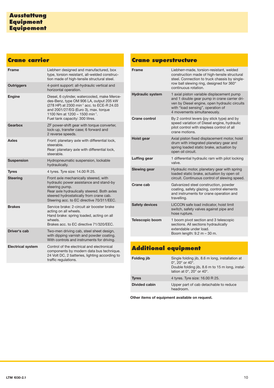## **Crane carrier**

| <b>Frame</b>             | Liebherr designed and manufactured, box<br>type, torsion resistant, all-welded construc-<br>tion made of high-tensile structural steel.                                                                                                                                    |
|--------------------------|----------------------------------------------------------------------------------------------------------------------------------------------------------------------------------------------------------------------------------------------------------------------------|
| <b>Outriggers</b>        | 4-point support: all-hydraulic vertical and<br>horizontal operation.                                                                                                                                                                                                       |
| <b>Engine</b>            | Diesel, 6 cylinder, watercooled, make Merce-<br>des-Benz, type OM 906 LA, output 205 kW<br>(278 HP) at 2300 min <sup>-1</sup> acc. to ECE-R 24.03<br>and 2001/27/EG (Euro 3), max. torque<br>1100 Nm at 1200 - 1500 min <sup>-1</sup> .<br>Fuel tank capacity: 300 litres. |
| Gearbox                  | ZF power-shift gear with torque converter,<br>lock-up, transfer case; 6 forward and<br>2 reverse speeds.                                                                                                                                                                   |
| <b>Axles</b>             | Front: planetary axle with differential lock,<br>steerable.<br>Rear: planetary axle with differential lock,<br>steerable.                                                                                                                                                  |
| <b>Suspension</b>        | Hydropneumatic suspension, lockable<br>hydraulically.                                                                                                                                                                                                                      |
| <b>Tyres</b>             | 4 tyres. Tyre size: 14.00 R 25.                                                                                                                                                                                                                                            |
| <b>Steering</b>          | Front axle mechanically steered, with<br>hydraulic power assistance and stand-by<br>steering pump.<br>Rear axle hydraulically steered. Both axles<br>steered hydrostatically from crane cab.<br>Steering acc. to EC directive 70/311/EEC.                                  |
| <b>Brakes</b>            | Service brake: 2-circuit air booster brake<br>acting on all wheels.<br>Hand brake: spring loaded, acting on all<br>wheels.<br>Brakes acc. to FC directive 71/320/FFC.                                                                                                      |
| Driver's cab             | Two-men driving cab, steel sheet design,<br>with dipping varnish and powder coating.<br>With controls and instruments for driving.                                                                                                                                         |
| <b>Electrical system</b> | Control of the electrical and electronical<br>components by modern data bus technique.<br>24 Volt DC, 2 batteries, lighting according to<br>traffic regulations.                                                                                                           |

## **Crane superstructure**

| <b>Frame</b>            | Liebherr-made, torsion-resistant, welded<br>construction made of high-tensile structural<br>steel. Connection to truck chassis by single-<br>row ball slewing ring, designed for 360°<br>continuous rotation.  |
|-------------------------|----------------------------------------------------------------------------------------------------------------------------------------------------------------------------------------------------------------|
| <b>Hydraulic system</b> | 1 axial piston variable displacement pump<br>and 1 double gear pump in crane carrier dri-<br>ven by Diesel engine, open hydraulic circuits<br>with "load sensing", operation of<br>4 movements simultaneously. |
| Crane control           | By 2 control levers (joy stick type) and by<br>speed variation of Diesel engine, hydraulic<br>pilot control with stepless control of all<br>crane motions.                                                     |
| Hoist gear              | Axial piston fixed displacement motor, hoist<br>drum with integrated planetary gear and<br>spring loaded static brake, actuation by<br>open oil circuit.                                                       |
| Luffing gear            | 1 differential hydraulic ram with pilot locking<br>valve.                                                                                                                                                      |
| <b>Slewing gear</b>     | Hydraulic motor, planetary gear with spring<br>loaded static brake, actuation by open oil<br>circuit. Continuous control of slewing speed.                                                                     |
| Crane cab               | Galvanized steel construction, powder<br>coating, safety glazing, control elements<br>and instruments for crane operation and<br>travelling.                                                                   |
| <b>Safety devices</b>   | LICCON safe load indicator, hoist limit<br>switch, safety valves against pipe and<br>hose rupture.                                                                                                             |
| <b>Telescopic boom</b>  | 1 boom pivot section and 3 telescopic<br>sections. All sections hydraulically<br>extendable under load.<br>Boom length: 9.2 m - 30 m.                                                                          |

# **Additional equipment**

| <b>Folding jib</b> | Single folding jib, 8.6 m long, installation at<br>$0^\circ$ , 20 $^\circ$ or 40 $^\circ$ .<br>Double folding jib, 8.6 m to 15 m long, instal-<br>lation at 0°, 20° or 40°. |
|--------------------|-----------------------------------------------------------------------------------------------------------------------------------------------------------------------------|
| <b>Tyres</b>       | 4 tyres. Tyre size: 16.00 R 25.                                                                                                                                             |
| Divided cabin      | Upper part of cab detachable to reduce<br>headroom.                                                                                                                         |

**Other items of equipment available on request.**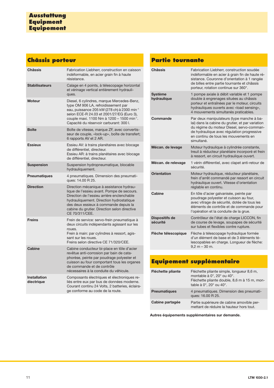# **Châssis porteur**

| <b>Châssis</b>                    | Fabrication Liebherr, construction en caisson<br>indéformable, en acier grain fin à haute<br>résistance.                                                                                                                                                                                       |
|-----------------------------------|------------------------------------------------------------------------------------------------------------------------------------------------------------------------------------------------------------------------------------------------------------------------------------------------|
| <b>Stabilisateurs</b>             | Calage en 4 points, à télescopage horizontal<br>et vérinage vertical entièrement hydrauli-<br>ques.                                                                                                                                                                                            |
| <b>Moteur</b>                     | Diesel, 6 cylindres, marque Mercedes-Benz,<br>type OM 906 LA, refroidissement par<br>eau, puissance 205 kW (278 ch) à 2300 min <sup>-1</sup><br>selon ECE-R 24.03 et 2001/27/EG (Euro 3),<br>couple maxi. 1100 Nm à 1200 - 1500 min <sup>-1</sup> .<br>Capacité du réservoir carburant: 300 l. |
| <b>Boîte</b>                      | Boîte de vitesse, marque ZF, avec convertis-<br>seur de couple, «lock-up», boîte de transfert;<br>6 rapports AV et 2 AR.                                                                                                                                                                       |
| <b>Essieux</b>                    | Essieu AV: à trains planétaires avec blocage<br>de différentiel, directeur.<br>Essieu AR: à trains planétaires avec blocage<br>de différentiel, directeur.                                                                                                                                     |
| <b>Suspension</b>                 | Suspension hydropneumatique, blocable<br>hydrauliquement.                                                                                                                                                                                                                                      |
| <b>Pneumatiques</b>               | 4 pneumatiques. Dimension des pneumati-<br>ques: 14.00 R 25.                                                                                                                                                                                                                                   |
| <b>Direction</b>                  | Direction mécanique à assistance hydrau-<br>lique de l'essieu avant. Pompe de secours.<br>Direction de l'essieu arrière enclenchable<br>hydrauliquement. Direction hydrostatique<br>des deux essieux à commande depuis la<br>cabine du grutier. Direction selon directive<br>CE 70/311/CEE.    |
| <b>Freins</b>                     | Frein de service: servo-frein pneumatique à<br>deux circuits indépendants agissant sur les<br>roues.<br>Frein à main: par cylindres à ressort, agis-<br>sant sur les roues.<br>Freins selon directive CE 71/320/CEE.                                                                           |
| <b>Cabine</b>                     | Cabine conducteur bi-place en tôle d'acier<br>revêtue anti-corrosion par bain de cata-<br>phorèse, peinte par poudrage polyester et<br>cuisson au four comportant tous les organes<br>de commande et de contrôle<br>nécessaires à la conduite du véhicule.                                     |
| <b>Installation</b><br>électrique | Composants électriques et électroniques re-<br>liés entre eux par bus de données moderne.<br>Courant continu 24 Volts, 2 batteries, éclaira-<br>ge conforme au code de la route.                                                                                                               |

## **Partie tournante**

| <b>Châssis</b>                    | Fabrication Liebherr, construction soudée<br>indéformable en acier à grain fin de haute ré-<br>sistance. Couronne d'orientation à 1 rangée<br>de billes entre partie tournante et châssis<br>porteur, rotation continue sur 360°.              |
|-----------------------------------|------------------------------------------------------------------------------------------------------------------------------------------------------------------------------------------------------------------------------------------------|
| <b>Système</b><br>hydraulique     | 1 pompe axiale à débit variable et 1 pompe<br>double à engrenages situées au châssis<br>porteur et entraînées par le moteur, circuits<br>hydrauliques ouverts avec «load sensing»,<br>4 mouvements simultanés praticables.                     |
| Commande                          | Par deux manipulateurs (type manche à ba-<br>lai) dans la cabine du grutier, et par variation<br>du régime du moteur Diesel, servo-comman-<br>de hydraulique avec régulation progressive<br>en continu de tous les mouvements en<br>simultané. |
| Mécan. de levage                  | Moteur hydraulique à cylindrée constante,<br>treuil à réducteur planétaire incorporé et frein<br>à ressort, en circuit hydraulique ouvert.                                                                                                     |
| Mécan. de relevage                | 1 vérin différentiel, avec clapet anti-retour de<br>sécurité.                                                                                                                                                                                  |
| Orientation                       | Moteur hydraulique, réducteur planétaire,<br>frein d'arrêt commandé par ressort en circuit<br>hydraulique ouvert. Vitesse d'orientation<br>réglable en continu.                                                                                |
| Cabine                            | En tôle d'acier galvanisée, peinte par<br>poudrage polyester et cuisson au four,<br>avec vitrage de sécurité, dotée de tous les<br>éléments de contrôle et de commande pour<br>l'opération et la conduite de la grue.                          |
| <b>Dispositifs de</b><br>sécurité | Contrôleur de l'état de charge LICCON, fin<br>de course de levage, soupapes de sécurité<br>sur tubes et flexibles contre rupture.                                                                                                              |
| Flèche télescopique               | Flèche à télescopage hydraulique formée<br>d'un élément de base et de 3 éléments té-<br>lescopables en charge. Longueur de flèche:<br>$9.2 m - 30 m$ .                                                                                         |

|                     | Equipement supplémentaire                                                                                                                          |
|---------------------|----------------------------------------------------------------------------------------------------------------------------------------------------|
| Fléchette pliante   | Fléchette pliante simple, longueur 8,6 m,<br>montable à 0°, 20° ou 40°.<br>Fléchette pliante double, 8,6 m à 15 m, mon-<br>table à 0°, 20° ou 40°. |
| <b>Pneumatiques</b> | 4 pneumatiques. Dimension des pneumati-<br>ques: 16.00 R 25.                                                                                       |
| Cabine partagée     | Partie supérieure de cabine amovible per-<br>mettant de réduire la hauteur hors tout.                                                              |

**Autres équipements supplémentaires sur demande.**